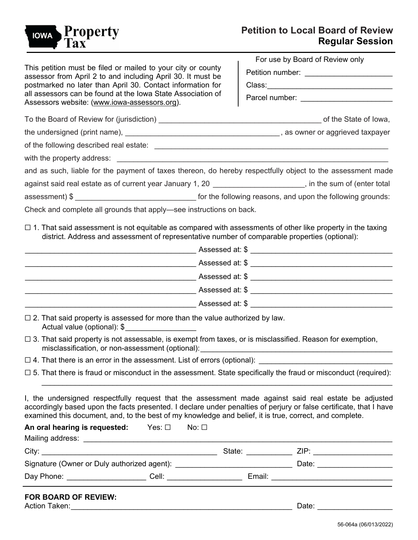

|                                                                                                                                                                                                                                                                                                                                                                                                         | For use by Board of Review only          |                          |
|---------------------------------------------------------------------------------------------------------------------------------------------------------------------------------------------------------------------------------------------------------------------------------------------------------------------------------------------------------------------------------------------------------|------------------------------------------|--------------------------|
| This petition must be filed or mailed to your city or county<br>assessor from April 2 to and including April 30. It must be<br>postmarked no later than April 30. Contact information for<br>all assessors can be found at the Iowa State Association of<br>Assessors website: (www.iowa-assessors.org).                                                                                                | Petition number: _______________________ |                          |
|                                                                                                                                                                                                                                                                                                                                                                                                         |                                          |                          |
|                                                                                                                                                                                                                                                                                                                                                                                                         |                                          |                          |
|                                                                                                                                                                                                                                                                                                                                                                                                         |                                          |                          |
|                                                                                                                                                                                                                                                                                                                                                                                                         |                                          |                          |
|                                                                                                                                                                                                                                                                                                                                                                                                         |                                          |                          |
|                                                                                                                                                                                                                                                                                                                                                                                                         |                                          |                          |
| and as such, liable for the payment of taxes thereon, do hereby respectfully object to the assessment made                                                                                                                                                                                                                                                                                              |                                          |                          |
| against said real estate as of current year January 1, 20 ______________________, in the sum of (enter total                                                                                                                                                                                                                                                                                            |                                          |                          |
|                                                                                                                                                                                                                                                                                                                                                                                                         |                                          |                          |
| Check and complete all grounds that apply-see instructions on back.                                                                                                                                                                                                                                                                                                                                     |                                          |                          |
| $\Box$ 1. That said assessment is not equitable as compared with assessments of other like property in the taxing<br>district. Address and assessment of representative number of comparable properties (optional):                                                                                                                                                                                     |                                          |                          |
| _________________________________Assessed at: \$ ________________________________                                                                                                                                                                                                                                                                                                                       |                                          |                          |
|                                                                                                                                                                                                                                                                                                                                                                                                         |                                          |                          |
|                                                                                                                                                                                                                                                                                                                                                                                                         |                                          |                          |
|                                                                                                                                                                                                                                                                                                                                                                                                         |                                          |                          |
| $\Box$ 2. That said property is assessed for more than the value authorized by law.<br>Actual value (optional): \$                                                                                                                                                                                                                                                                                      |                                          |                          |
| $\Box$ 3. That said property is not assessable, is exempt from taxes, or is misclassified. Reason for exemption,<br>misclassification, or non-assessment (optional): misclassification, or non-                                                                                                                                                                                                         |                                          |                          |
| $\Box$ 4. That there is an error in the assessment. List of errors (optional):                                                                                                                                                                                                                                                                                                                          |                                          |                          |
| $\Box$ 5. That there is fraud or misconduct in the assessment. State specifically the fraud or misconduct (required):                                                                                                                                                                                                                                                                                   |                                          |                          |
| I, the undersigned respectfully request that the assessment made against said real estate be adjusted<br>accordingly based upon the facts presented. I declare under penalties of perjury or false certificate, that I have<br>examined this document, and, to the best of my knowledge and belief, it is true, correct, and complete.<br>An oral hearing is requested: Yes: $\square$<br>No: $\square$ |                                          |                          |
|                                                                                                                                                                                                                                                                                                                                                                                                         |                                          |                          |
|                                                                                                                                                                                                                                                                                                                                                                                                         |                                          |                          |
|                                                                                                                                                                                                                                                                                                                                                                                                         |                                          |                          |
|                                                                                                                                                                                                                                                                                                                                                                                                         |                                          |                          |
| <b>FOR BOARD OF REVIEW:</b>                                                                                                                                                                                                                                                                                                                                                                             |                                          | Date: <u>___________</u> |